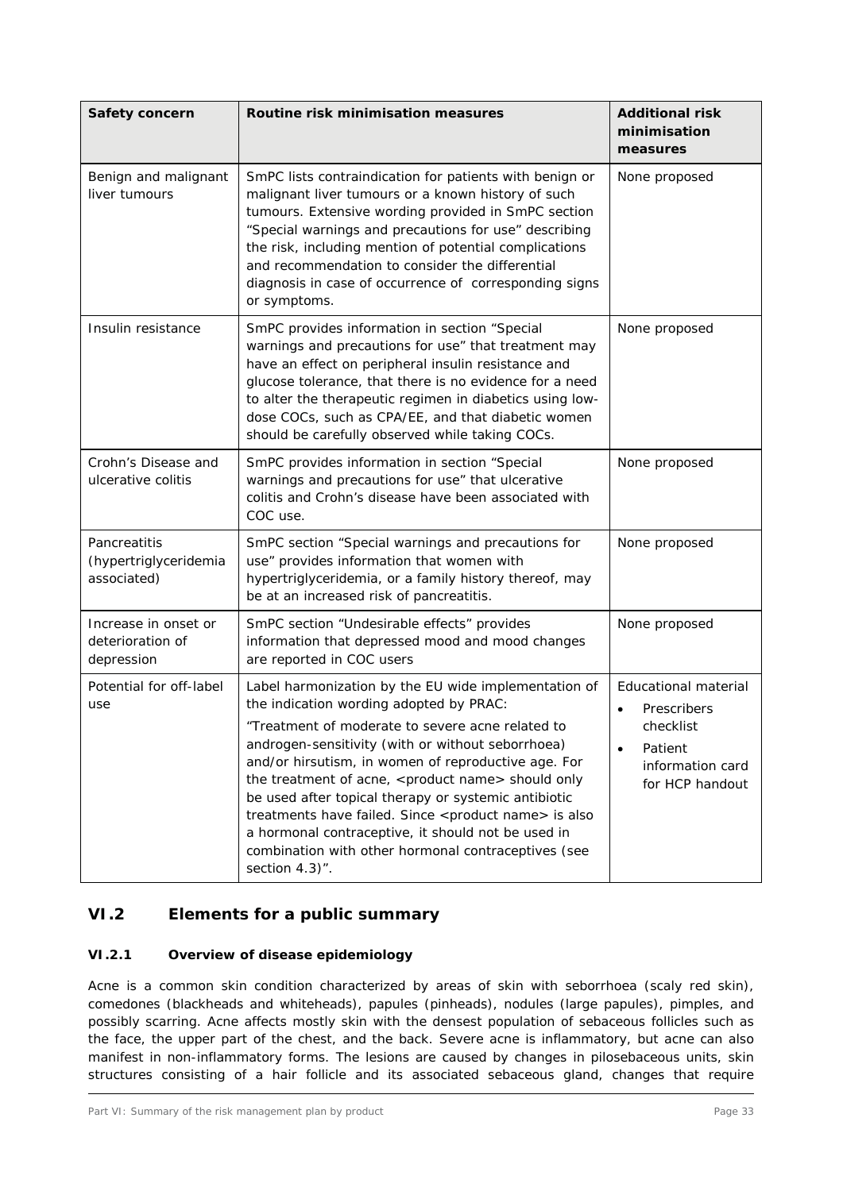| Safety concern                                         | Routine risk minimisation measures                                                                                                                                                                                                                                                                                                                                                                                                                                                                                                                                                                             | <b>Additional risk</b><br>minimisation<br>measures                                                 |
|--------------------------------------------------------|----------------------------------------------------------------------------------------------------------------------------------------------------------------------------------------------------------------------------------------------------------------------------------------------------------------------------------------------------------------------------------------------------------------------------------------------------------------------------------------------------------------------------------------------------------------------------------------------------------------|----------------------------------------------------------------------------------------------------|
| Benign and malignant<br>liver tumours                  | SmPC lists contraindication for patients with benign or<br>malignant liver tumours or a known history of such<br>tumours. Extensive wording provided in SmPC section<br>"Special warnings and precautions for use" describing<br>the risk, including mention of potential complications<br>and recommendation to consider the differential<br>diagnosis in case of occurrence of corresponding signs<br>or symptoms.                                                                                                                                                                                           | None proposed                                                                                      |
| Insulin resistance                                     | SmPC provides information in section "Special<br>warnings and precautions for use" that treatment may<br>have an effect on peripheral insulin resistance and<br>glucose tolerance, that there is no evidence for a need<br>to alter the therapeutic regimen in diabetics using low-<br>dose COCs, such as CPA/EE, and that diabetic women<br>should be carefully observed while taking COCs.                                                                                                                                                                                                                   | None proposed                                                                                      |
| Crohn's Disease and<br>ulcerative colitis              | SmPC provides information in section "Special<br>warnings and precautions for use" that ulcerative<br>colitis and Crohn's disease have been associated with<br>COC use.                                                                                                                                                                                                                                                                                                                                                                                                                                        | None proposed                                                                                      |
| Pancreatitis<br>(hypertriglyceridemia<br>associated)   | SmPC section "Special warnings and precautions for<br>use" provides information that women with<br>hypertriglyceridemia, or a family history thereof, may<br>be at an increased risk of pancreatitis.                                                                                                                                                                                                                                                                                                                                                                                                          | None proposed                                                                                      |
| Increase in onset or<br>deterioration of<br>depression | SmPC section "Undesirable effects" provides<br>information that depressed mood and mood changes<br>are reported in COC users                                                                                                                                                                                                                                                                                                                                                                                                                                                                                   | None proposed                                                                                      |
| Potential for off-label<br>use                         | Label harmonization by the EU wide implementation of<br>the indication wording adopted by PRAC:<br>"Treatment of moderate to severe acne related to<br>androgen-sensitivity (with or without seborrhoea)<br>and/or hirsutism, in women of reproductive age. For<br>the treatment of acne, <product name=""> should only<br/>be used after topical therapy or systemic antibiotic<br/>treatments have failed. Since <product name=""> is also<br/>a hormonal contraceptive, it should not be used in<br/>combination with other hormonal contraceptives (see<br/>section <math>4.3</math>".</product></product> | Educational material<br>Prescribers<br>checklist<br>Patient<br>information card<br>for HCP handout |

# **VI.2 Elements for a public summary**

# **VI.2.1 Overview of disease epidemiology**

Acne is a common skin condition characterized by areas of skin with seborrhoea (scaly red skin), comedones (blackheads and whiteheads), papules (pinheads), nodules (large papules), pimples, and possibly scarring. Acne affects mostly skin with the densest population of sebaceous follicles such as the face, the upper part of the chest, and the back. Severe acne is inflammatory, but acne can also manifest in non-inflammatory forms. The lesions are caused by changes in pilosebaceous units, skin structures consisting of a hair follicle and its associated sebaceous gland, changes that require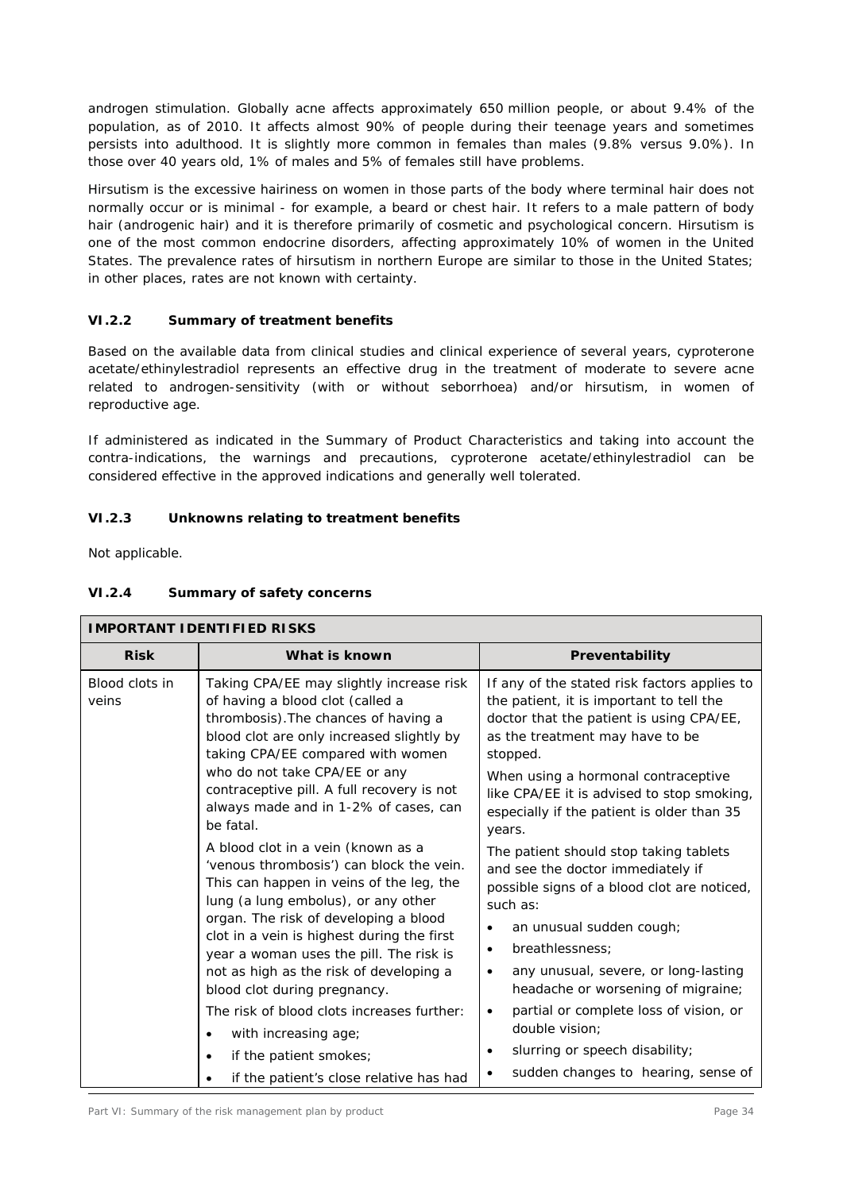androgen stimulation. Globally acne affects approximately 650 million people, or about 9.4% of the population, as of 2010. It affects almost 90% of people during their teenage years and sometimes persists into adulthood. It is slightly more common in females than males (9.8% versus 9.0%). In those over 40 years old, 1% of males and 5% of females still have problems.

Hirsutism is the excessive hairiness on women in those parts of the body where terminal hair does not normally occur or is minimal - for example, a beard or chest hair. It refers to a male pattern of body hair (androgenic hair) and it is therefore primarily of cosmetic and psychological concern. Hirsutism is one of the most common endocrine disorders, affecting approximately 10% of women in the United States. The prevalence rates of hirsutism in northern Europe are similar to those in the United States; in other places, rates are not known with certainty.

# **VI.2.2 Summary of treatment benefits**

Based on the available data from clinical studies and clinical experience of several years, cyproterone acetate/ethinylestradiol represents an effective drug in the treatment of moderate to severe acne related to androgen-sensitivity (with or without seborrhoea) and/or hirsutism, in women of reproductive age.

If administered as indicated in the Summary of Product Characteristics and taking into account the contra-indications, the warnings and precautions, cyproterone acetate/ethinylestradiol can be considered effective in the approved indications and generally well tolerated.

# **VI.2.3 Unknowns relating to treatment benefits**

Not applicable.

# **VI.2.4 Summary of safety concerns**

| <b>IMPORTANT IDENTIFIED RISKS</b> |                                                                                                                                                                                                                                                                                                                                                                                                                                                                                                                                             |                                                                                                                                                                                                                                                                                                                                                                                                                                                      |  |  |  |
|-----------------------------------|---------------------------------------------------------------------------------------------------------------------------------------------------------------------------------------------------------------------------------------------------------------------------------------------------------------------------------------------------------------------------------------------------------------------------------------------------------------------------------------------------------------------------------------------|------------------------------------------------------------------------------------------------------------------------------------------------------------------------------------------------------------------------------------------------------------------------------------------------------------------------------------------------------------------------------------------------------------------------------------------------------|--|--|--|
| <b>Risk</b><br>What is known      |                                                                                                                                                                                                                                                                                                                                                                                                                                                                                                                                             | Preventability                                                                                                                                                                                                                                                                                                                                                                                                                                       |  |  |  |
| Blood clots in<br>veins           | Taking CPA/EE may slightly increase risk<br>of having a blood clot (called a<br>thrombosis). The chances of having a<br>blood clot are only increased slightly by<br>taking CPA/EE compared with women<br>who do not take CPA/EE or any<br>contraceptive pill. A full recovery is not<br>always made and in 1-2% of cases, can<br>be fatal.                                                                                                                                                                                                 | If any of the stated risk factors applies to<br>the patient, it is important to tell the<br>doctor that the patient is using CPA/EE,<br>as the treatment may have to be<br>stopped.<br>When using a hormonal contraceptive<br>like CPA/EE it is advised to stop smoking,<br>especially if the patient is older than 35<br>years.                                                                                                                     |  |  |  |
|                                   | A blood clot in a vein (known as a<br>'venous thrombosis') can block the vein.<br>This can happen in veins of the leg, the<br>lung (a lung embolus), or any other<br>organ. The risk of developing a blood<br>clot in a vein is highest during the first<br>year a woman uses the pill. The risk is<br>not as high as the risk of developing a<br>blood clot during pregnancy.<br>The risk of blood clots increases further:<br>with increasing age;<br>$\bullet$<br>if the patient smokes;<br>٠<br>if the patient's close relative has had | The patient should stop taking tablets<br>and see the doctor immediately if<br>possible signs of a blood clot are noticed,<br>such as:<br>an unusual sudden cough;<br>breathlessness;<br>$\bullet$<br>any unusual, severe, or long-lasting<br>$\bullet$<br>headache or worsening of migraine;<br>partial or complete loss of vision, or<br>$\bullet$<br>double vision;<br>slurring or speech disability;<br>٠<br>sudden changes to hearing, sense of |  |  |  |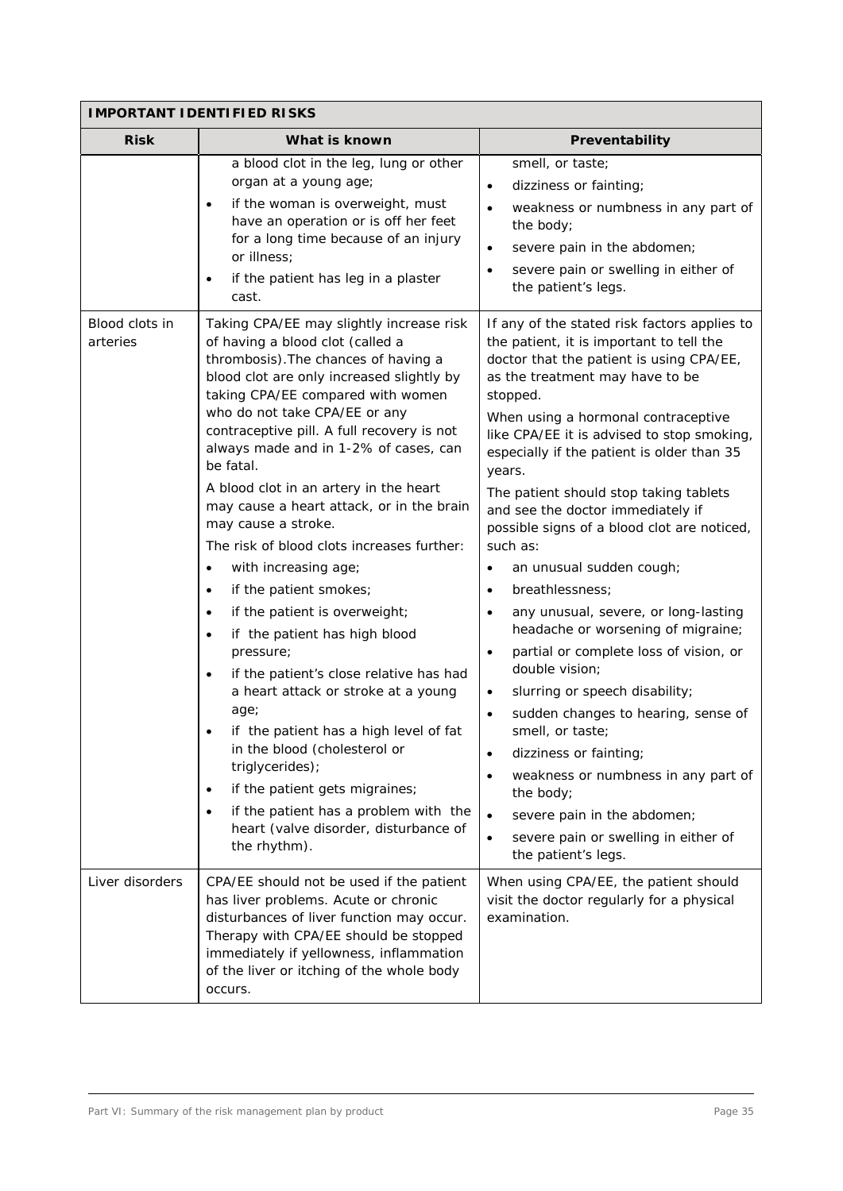| <b>IMPORTANT IDENTIFIED RISKS</b> |                                                                                                                                                                                                                                                                                                                                                                                                                                                                                                                           |                                                                                                                                                                                                                                                                                                                                                                                                                                                                                                                                                                        |  |  |  |
|-----------------------------------|---------------------------------------------------------------------------------------------------------------------------------------------------------------------------------------------------------------------------------------------------------------------------------------------------------------------------------------------------------------------------------------------------------------------------------------------------------------------------------------------------------------------------|------------------------------------------------------------------------------------------------------------------------------------------------------------------------------------------------------------------------------------------------------------------------------------------------------------------------------------------------------------------------------------------------------------------------------------------------------------------------------------------------------------------------------------------------------------------------|--|--|--|
| <b>Risk</b>                       | What is known                                                                                                                                                                                                                                                                                                                                                                                                                                                                                                             | Preventability                                                                                                                                                                                                                                                                                                                                                                                                                                                                                                                                                         |  |  |  |
| Blood clots in<br>arteries        | a blood clot in the leg, lung or other<br>organ at a young age;<br>if the woman is overweight, must<br>have an operation or is off her feet<br>for a long time because of an injury<br>or illness;<br>if the patient has leg in a plaster<br>cast.<br>Taking CPA/EE may slightly increase risk<br>of having a blood clot (called a<br>thrombosis). The chances of having a                                                                                                                                                | smell, or taste;<br>dizziness or fainting;<br>$\bullet$<br>weakness or numbness in any part of<br>$\bullet$<br>the body;<br>severe pain in the abdomen;<br>severe pain or swelling in either of<br>$\bullet$<br>the patient's legs.<br>If any of the stated risk factors applies to<br>the patient, it is important to tell the<br>doctor that the patient is using CPA/EE,                                                                                                                                                                                            |  |  |  |
|                                   | blood clot are only increased slightly by<br>taking CPA/EE compared with women<br>who do not take CPA/EE or any<br>contraceptive pill. A full recovery is not<br>always made and in 1-2% of cases, can<br>be fatal.<br>A blood clot in an artery in the heart<br>may cause a heart attack, or in the brain<br>may cause a stroke.<br>The risk of blood clots increases further:                                                                                                                                           | as the treatment may have to be<br>stopped.<br>When using a hormonal contraceptive<br>like CPA/EE it is advised to stop smoking,<br>especially if the patient is older than 35<br>years.<br>The patient should stop taking tablets<br>and see the doctor immediately if<br>possible signs of a blood clot are noticed,<br>such as:                                                                                                                                                                                                                                     |  |  |  |
|                                   | with increasing age;<br>$\bullet$<br>if the patient smokes;<br>$\bullet$<br>if the patient is overweight;<br>$\bullet$<br>if the patient has high blood<br>$\bullet$<br>pressure;<br>if the patient's close relative has had<br>a heart attack or stroke at a young<br>age;<br>if the patient has a high level of fat<br>in the blood (cholesterol or<br>triglycerides);<br>if the patient gets migraines;<br>$\bullet$<br>if the patient has a problem with the<br>heart (valve disorder, disturbance of<br>the rhythm). | an unusual sudden cough;<br>$\bullet$<br>breathlessness;<br>$\bullet$<br>any unusual, severe, or long-lasting<br>$\bullet$<br>headache or worsening of migraine;<br>partial or complete loss of vision, or<br>$\bullet$<br>double vision;<br>slurring or speech disability;<br>$\bullet$<br>sudden changes to hearing, sense of<br>smell, or taste;<br>dizziness or fainting;<br>$\bullet$<br>weakness or numbness in any part of<br>the body;<br>severe pain in the abdomen;<br>$\bullet$<br>severe pain or swelling in either of<br>$\bullet$<br>the patient's legs. |  |  |  |
| Liver disorders                   | CPA/EE should not be used if the patient<br>has liver problems. Acute or chronic<br>disturbances of liver function may occur.<br>Therapy with CPA/EE should be stopped<br>immediately if yellowness, inflammation<br>of the liver or itching of the whole body<br>occurs.                                                                                                                                                                                                                                                 | When using CPA/EE, the patient should<br>visit the doctor regularly for a physical<br>examination.                                                                                                                                                                                                                                                                                                                                                                                                                                                                     |  |  |  |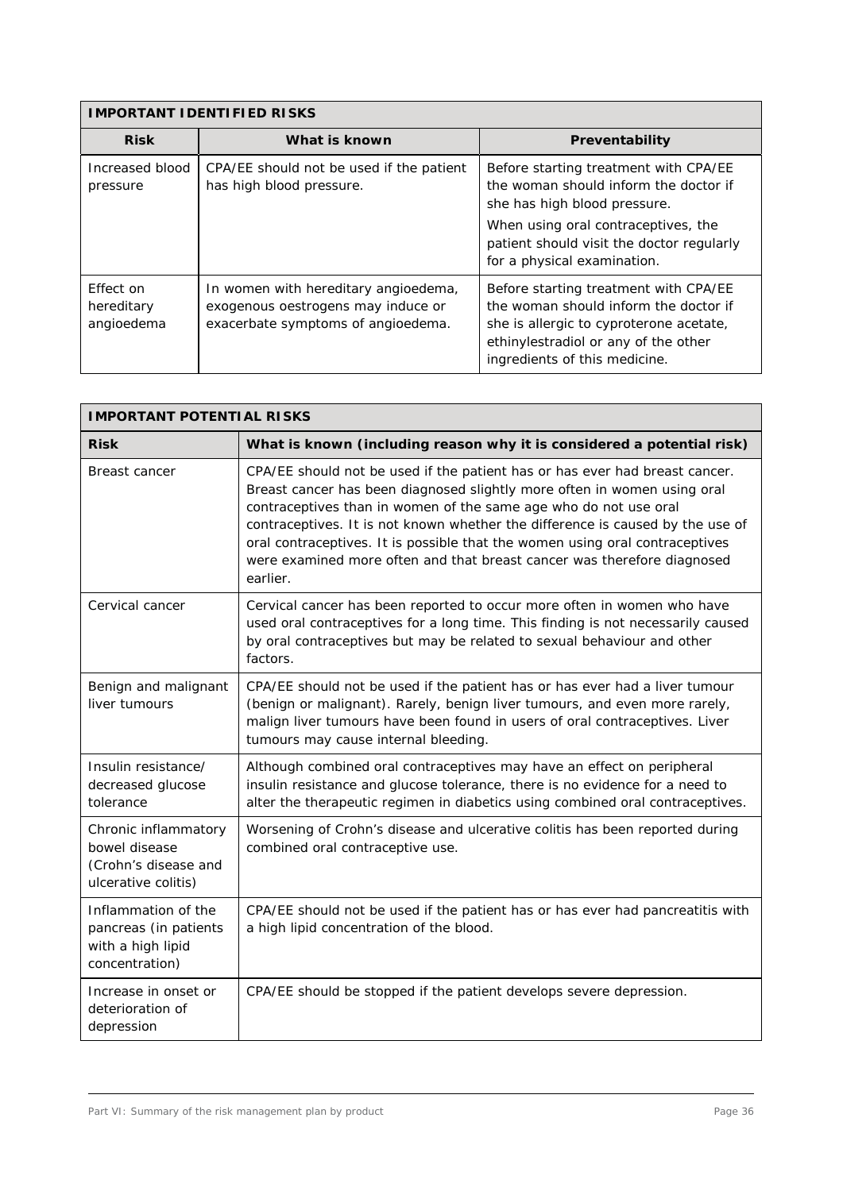| <b>IMPORTANT IDENTIFIED RISKS</b>     |                                                                                                                  |                                                                                                                                                                                                                                   |  |  |
|---------------------------------------|------------------------------------------------------------------------------------------------------------------|-----------------------------------------------------------------------------------------------------------------------------------------------------------------------------------------------------------------------------------|--|--|
| <b>Risk</b>                           | What is known                                                                                                    | Preventability                                                                                                                                                                                                                    |  |  |
| Increased blood<br>pressure           | CPA/EE should not be used if the patient<br>has high blood pressure.                                             | Before starting treatment with CPA/EE<br>the woman should inform the doctor if<br>she has high blood pressure.<br>When using oral contraceptives, the<br>patient should visit the doctor regularly<br>for a physical examination. |  |  |
| Effect on<br>hereditary<br>angioedema | In women with hereditary angioedema,<br>exogenous oestrogens may induce or<br>exacerbate symptoms of angioedema. | Before starting treatment with CPA/EE<br>the woman should inform the doctor if<br>she is allergic to cyproterone acetate,<br>ethinylestradiol or any of the other<br>ingredients of this medicine.                                |  |  |

| <b>IMPORTANT POTENTIAL RISKS</b>                                                     |                                                                                                                                                                                                                                                                                                                                                                                                                                                                                      |  |  |
|--------------------------------------------------------------------------------------|--------------------------------------------------------------------------------------------------------------------------------------------------------------------------------------------------------------------------------------------------------------------------------------------------------------------------------------------------------------------------------------------------------------------------------------------------------------------------------------|--|--|
| <b>Risk</b>                                                                          | What is known (including reason why it is considered a potential risk)                                                                                                                                                                                                                                                                                                                                                                                                               |  |  |
| Breast cancer                                                                        | CPA/EE should not be used if the patient has or has ever had breast cancer.<br>Breast cancer has been diagnosed slightly more often in women using oral<br>contraceptives than in women of the same age who do not use oral<br>contraceptives. It is not known whether the difference is caused by the use of<br>oral contraceptives. It is possible that the women using oral contraceptives<br>were examined more often and that breast cancer was therefore diagnosed<br>earlier. |  |  |
| Cervical cancer                                                                      | Cervical cancer has been reported to occur more often in women who have<br>used oral contraceptives for a long time. This finding is not necessarily caused<br>by oral contraceptives but may be related to sexual behaviour and other<br>factors.                                                                                                                                                                                                                                   |  |  |
| Benign and malignant<br>liver tumours                                                | CPA/EE should not be used if the patient has or has ever had a liver tumour<br>(benign or malignant). Rarely, benign liver tumours, and even more rarely,<br>malign liver tumours have been found in users of oral contraceptives. Liver<br>tumours may cause internal bleeding.                                                                                                                                                                                                     |  |  |
| Insulin resistance/<br>decreased glucose<br>tolerance                                | Although combined oral contraceptives may have an effect on peripheral<br>insulin resistance and glucose tolerance, there is no evidence for a need to<br>alter the therapeutic regimen in diabetics using combined oral contraceptives.                                                                                                                                                                                                                                             |  |  |
| Chronic inflammatory<br>bowel disease<br>(Crohn's disease and<br>ulcerative colitis) | Worsening of Crohn's disease and ulcerative colitis has been reported during<br>combined oral contraceptive use.                                                                                                                                                                                                                                                                                                                                                                     |  |  |
| Inflammation of the<br>pancreas (in patients<br>with a high lipid<br>concentration)  | CPA/EE should not be used if the patient has or has ever had pancreatitis with<br>a high lipid concentration of the blood.                                                                                                                                                                                                                                                                                                                                                           |  |  |
| Increase in onset or<br>deterioration of<br>depression                               | CPA/EE should be stopped if the patient develops severe depression.                                                                                                                                                                                                                                                                                                                                                                                                                  |  |  |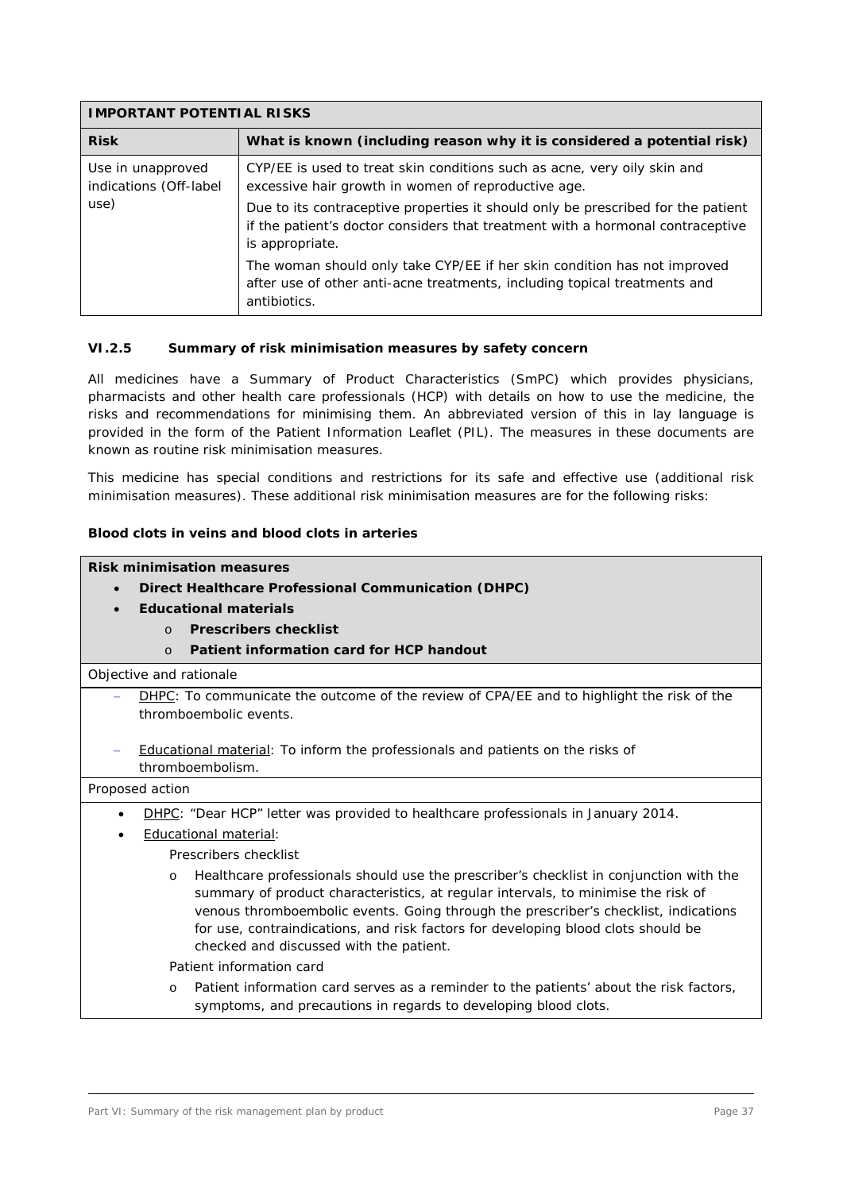| <b>IMPORTANT POTENTIAL RISKS</b>            |                                                                                                                                                                                       |  |  |
|---------------------------------------------|---------------------------------------------------------------------------------------------------------------------------------------------------------------------------------------|--|--|
| <b>Risk</b>                                 | What is known (including reason why it is considered a potential risk)                                                                                                                |  |  |
| Use in unapproved<br>indications (Off-label | CYP/EE is used to treat skin conditions such as acne, very oily skin and<br>excessive hair growth in women of reproductive age.                                                       |  |  |
| use)                                        | Due to its contraceptive properties it should only be prescribed for the patient<br>if the patient's doctor considers that treatment with a hormonal contraceptive<br>is appropriate. |  |  |
|                                             | The woman should only take CYP/EE if her skin condition has not improved<br>after use of other anti-acne treatments, including topical treatments and<br>antibiotics.                 |  |  |

#### **VI.2.5 Summary of risk minimisation measures by safety concern**

All medicines have a Summary of Product Characteristics (SmPC) which provides physicians, pharmacists and other health care professionals (HCP) with details on how to use the medicine, the risks and recommendations for minimising them. An abbreviated version of this in lay language is provided in the form of the Patient Information Leaflet (PIL). The measures in these documents are known as routine risk minimisation measures.

This medicine has special conditions and restrictions for its safe and effective use (additional risk minimisation measures). These additional risk minimisation measures are for the following risks:

# **Blood clots in veins and blood clots in arteries**

**Risk minimisation measures**

- x **Direct Healthcare Professional Communication (DHPC)**
- x **Educational materials**
	- o **Prescribers checklist**
	- o **Patient information card for HCP handout**

Objective and rationale

- DHPC: To communicate the outcome of the review of CPA/EE and to highlight the risk of the thromboembolic events.
- Educational material: To inform the professionals and patients on the risks of thromboembolism.

| Proposed action                                                                                                                                                                                                                                                                                                                                                                                               |  |  |  |  |
|---------------------------------------------------------------------------------------------------------------------------------------------------------------------------------------------------------------------------------------------------------------------------------------------------------------------------------------------------------------------------------------------------------------|--|--|--|--|
| DHPC: "Dear HCP" letter was provided to healthcare professionals in January 2014.<br>$\bullet$                                                                                                                                                                                                                                                                                                                |  |  |  |  |
| Educational material:<br>$\bullet$                                                                                                                                                                                                                                                                                                                                                                            |  |  |  |  |
| Prescribers checklist                                                                                                                                                                                                                                                                                                                                                                                         |  |  |  |  |
| Healthcare professionals should use the prescriber's checklist in conjunction with the<br>$\circ$<br>summary of product characteristics, at regular intervals, to minimise the risk of<br>venous thromboembolic events. Going through the prescriber's checklist, indications<br>for use, contraindications, and risk factors for developing blood clots should be<br>checked and discussed with the patient. |  |  |  |  |
| Patient information card                                                                                                                                                                                                                                                                                                                                                                                      |  |  |  |  |
| Patient information card serves as a reminder to the patients' about the risk factors,<br>$\circ$<br>symptoms, and precautions in regards to developing blood clots.                                                                                                                                                                                                                                          |  |  |  |  |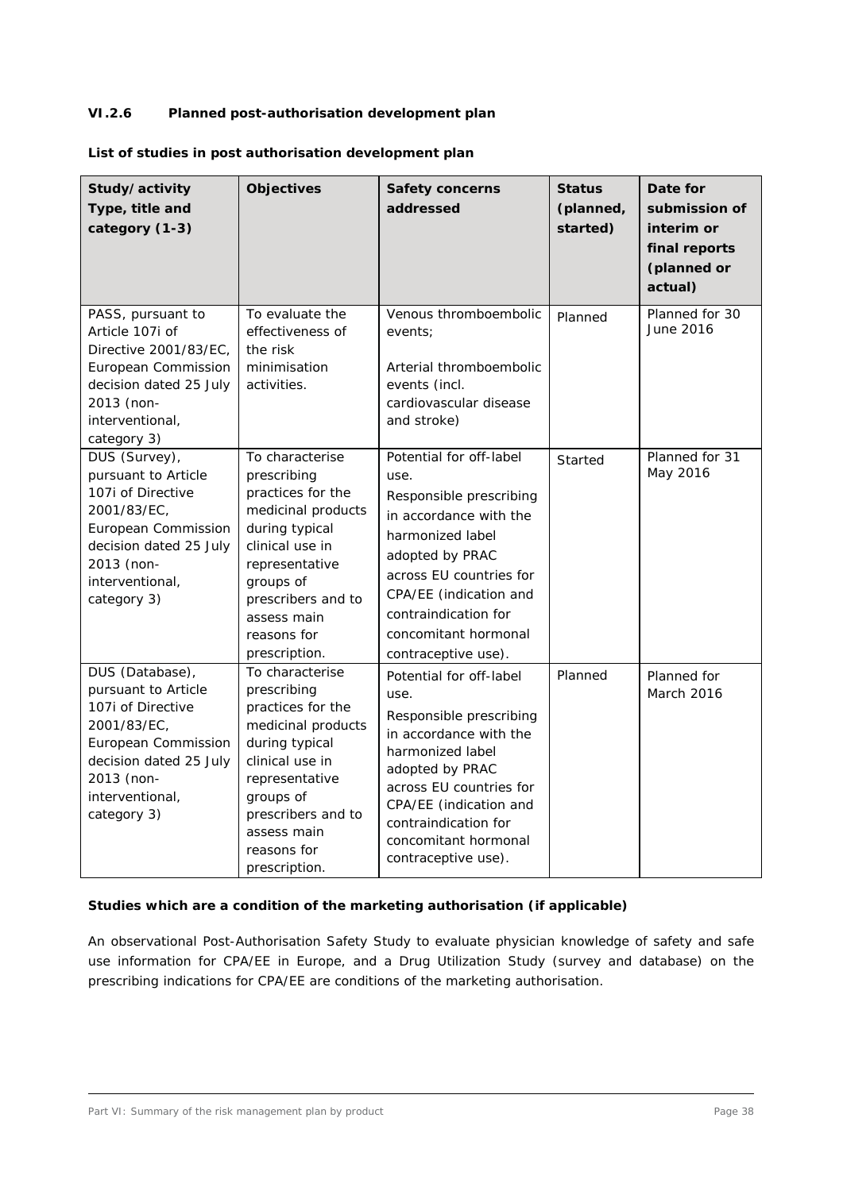# **VI.2.6 Planned post-authorisation development plan**

|  | List of studies in post authorisation development plan |  |  |
|--|--------------------------------------------------------|--|--|
|  |                                                        |  |  |

| Study/activity<br>Type, title and<br>category (1-3)                                                                                                                         | <b>Objectives</b>                                                                                                                                                                                                  | <b>Safety concerns</b><br>addressed                                                                                                                                                                                                                     | <b>Status</b><br>(planned,<br>started) | Date for<br>submission of<br>interim or<br>final reports<br>(planned or<br>actual) |
|-----------------------------------------------------------------------------------------------------------------------------------------------------------------------------|--------------------------------------------------------------------------------------------------------------------------------------------------------------------------------------------------------------------|---------------------------------------------------------------------------------------------------------------------------------------------------------------------------------------------------------------------------------------------------------|----------------------------------------|------------------------------------------------------------------------------------|
| PASS, pursuant to<br>Article 107i of<br>Directive 2001/83/EC.<br>European Commission<br>decision dated 25 July<br>2013 (non-<br>interventional,<br>category 3)              | To evaluate the<br>effectiveness of<br>the risk<br>minimisation<br>activities.                                                                                                                                     | Venous thromboembolic<br>events;<br>Arterial thromboembolic<br>events (incl.<br>cardiovascular disease<br>and stroke)                                                                                                                                   | Planned                                | Planned for 30<br>June 2016                                                        |
| DUS (Survey),<br>pursuant to Article<br>107i of Directive<br>2001/83/EC,<br>European Commission<br>decision dated 25 July<br>2013 (non-<br>interventional,<br>category 3)   | To characterise<br>prescribing<br>practices for the<br>medicinal products<br>during typical<br>clinical use in<br>representative<br>groups of<br>prescribers and to<br>assess main<br>reasons for<br>prescription. | Potential for off-label<br>use.<br>Responsible prescribing<br>in accordance with the<br>harmonized label<br>adopted by PRAC<br>across EU countries for<br>CPA/EE (indication and<br>contraindication for<br>concomitant hormonal<br>contraceptive use). | Started                                | Planned for 31<br>May 2016                                                         |
| DUS (Database),<br>pursuant to Article<br>107i of Directive<br>2001/83/EC,<br>European Commission<br>decision dated 25 July<br>2013 (non-<br>interventional,<br>category 3) | To characterise<br>prescribing<br>practices for the<br>medicinal products<br>during typical<br>clinical use in<br>representative<br>groups of<br>prescribers and to<br>assess main<br>reasons for<br>prescription. | Potential for off-label<br>use.<br>Responsible prescribing<br>in accordance with the<br>harmonized label<br>adopted by PRAC<br>across EU countries for<br>CPA/EE (indication and<br>contraindication for<br>concomitant hormonal<br>contraceptive use). | Planned                                | Planned for<br>March 2016                                                          |

# **Studies which are a condition of the marketing authorisation (if applicable)**

An observational Post-Authorisation Safety Study to evaluate physician knowledge of safety and safe use information for CPA/EE in Europe, and a Drug Utilization Study (survey and database) on the prescribing indications for CPA/EE are conditions of the marketing authorisation.